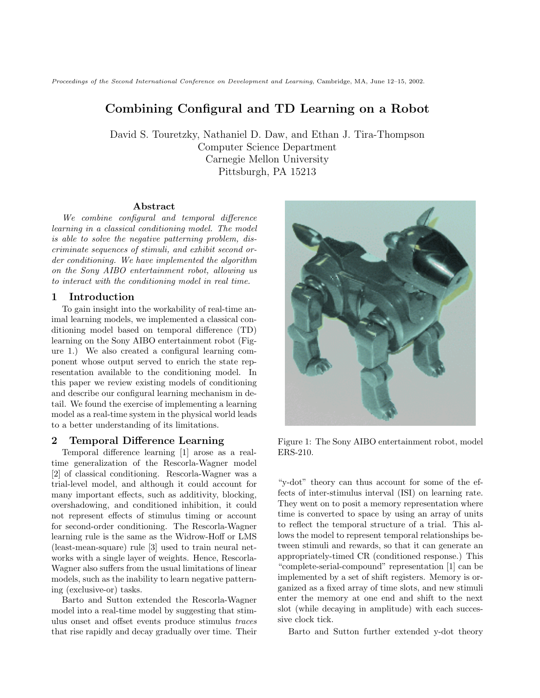Proceedings of the Second International Conference on Development and Learning, Cambridge, MA, June 12–15, 2002.

# **Combining Configural and TD Learning on a Robot**

David S. Touretzky, Nathaniel D. Daw, and Ethan J. Tira-Thompson Computer Science Department Carnegie Mellon University Pittsburgh, PA 15213

#### **Abstract**

We combine configural and temporal difference learning in a classical conditioning model. The model is able to solve the negative patterning problem, discriminate sequences of stimuli, and exhibit second order conditioning. We have implemented the algorithm on the Sony AIBO entertainment robot, allowing us to interact with the conditioning model in real time.

### **1 Introduction**

To gain insight into the workability of real-time animal learning models, we implemented a classical conditioning model based on temporal difference (TD) learning on the Sony AIBO entertainment robot (Figure 1.) We also created a configural learning component whose output served to enrich the state representation available to the conditioning model. In this paper we review existing models of conditioning and describe our configural learning mechanism in detail. We found the exercise of implementing a learning model as a real-time system in the physical world leads to a better understanding of its limitations.

## **2 Temporal Difference Learning**

Temporal difference learning [1] arose as a realtime generalization of the Rescorla-Wagner model [2] of classical conditioning. Rescorla-Wagner was a trial-level model, and although it could account for many important effects, such as additivity, blocking, overshadowing, and conditioned inhibition, it could not represent effects of stimulus timing or account for second-order conditioning. The Rescorla-Wagner learning rule is the same as the Widrow-Hoff or LMS (least-mean-square) rule [3] used to train neural networks with a single layer of weights. Hence, Rescorla-Wagner also suffers from the usual limitations of linear models, such as the inability to learn negative patterning (exclusive-or) tasks.

Barto and Sutton extended the Rescorla-Wagner model into a real-time model by suggesting that stimulus onset and offset events produce stimulus traces that rise rapidly and decay gradually over time. Their



Figure 1: The Sony AIBO entertainment robot, model ERS-210.

"y-dot" theory can thus account for some of the effects of inter-stimulus interval (ISI) on learning rate. They went on to posit a memory representation where time is converted to space by using an array of units to reflect the temporal structure of a trial. This allows the model to represent temporal relationships between stimuli and rewards, so that it can generate an appropriately-timed CR (conditioned response.) This "complete-serial-compound" representation [1] can be implemented by a set of shift registers. Memory is organized as a fixed array of time slots, and new stimuli enter the memory at one end and shift to the next slot (while decaying in amplitude) with each successive clock tick.

Barto and Sutton further extended y-dot theory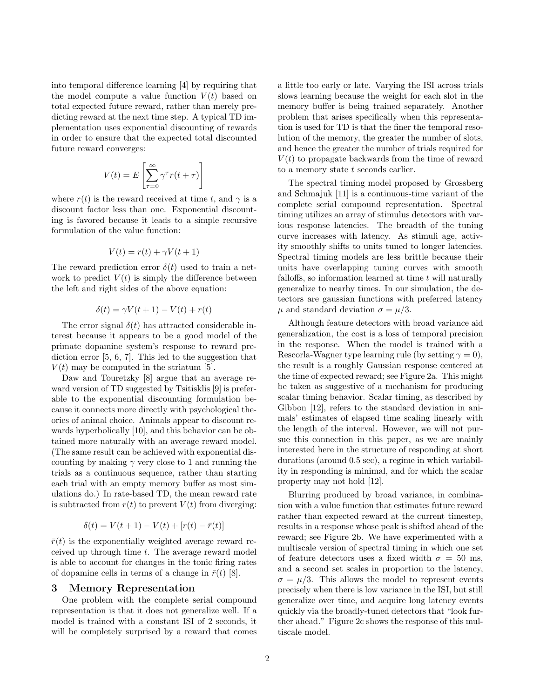into temporal difference learning [4] by requiring that the model compute a value function  $V(t)$  based on total expected future reward, rather than merely predicting reward at the next time step. A typical TD implementation uses exponential discounting of rewards in order to ensure that the expected total discounted future reward converges:

$$
V(t) = E\left[\sum_{\tau=0}^{\infty} \gamma^{\tau} r(t+\tau)\right]
$$

where  $r(t)$  is the reward received at time t, and  $\gamma$  is a discount factor less than one. Exponential discounting is favored because it leads to a simple recursive formulation of the value function:

$$
V(t) = r(t) + \gamma V(t+1)
$$

The reward prediction error  $\delta(t)$  used to train a network to predict  $V(t)$  is simply the difference between the left and right sides of the above equation:

$$
\delta(t) = \gamma V(t+1) - V(t) + r(t)
$$

The error signal  $\delta(t)$  has attracted considerable interest because it appears to be a good model of the primate dopamine system's response to reward prediction error [5, 6, 7]. This led to the suggestion that  $V(t)$  may be computed in the striatum [5].

Daw and Touretzky [8] argue that an average reward version of TD suggested by Tsitisklis [9] is preferable to the exponential discounting formulation because it connects more directly with psychological theories of animal choice. Animals appear to discount rewards hyperbolically [10], and this behavior can be obtained more naturally with an average reward model. (The same result can be achieved with exponential discounting by making  $\gamma$  very close to 1 and running the trials as a continuous sequence, rather than starting each trial with an empty memory buffer as most simulations do.) In rate-based TD, the mean reward rate is subtracted from  $r(t)$  to prevent  $V(t)$  from diverging:

$$
\delta(t) = V(t+1) - V(t) + [r(t) - \bar{r}(t)]
$$

 $\bar{r}(t)$  is the exponentially weighted average reward received up through time t. The average reward model is able to account for changes in the tonic firing rates of dopamine cells in terms of a change in  $\bar{r}(t)$  [8].

### **3 Memory Representation**

One problem with the complete serial compound representation is that it does not generalize well. If a model is trained with a constant ISI of 2 seconds, it will be completely surprised by a reward that comes a little too early or late. Varying the ISI across trials slows learning because the weight for each slot in the memory buffer is being trained separately. Another problem that arises specifically when this representation is used for TD is that the finer the temporal resolution of the memory, the greater the number of slots, and hence the greater the number of trials required for  $V(t)$  to propagate backwards from the time of reward to a memory state  $t$  seconds earlier.

The spectral timing model proposed by Grossberg and Schmajuk [11] is a continuous-time variant of the complete serial compound representation. Spectral timing utilizes an array of stimulus detectors with various response latencies. The breadth of the tuning curve increases with latency. As stimuli age, activity smoothly shifts to units tuned to longer latencies. Spectral timing models are less brittle because their units have overlapping tuning curves with smooth falloffs, so information learned at time  $t$  will naturally generalize to nearby times. In our simulation, the detectors are gaussian functions with preferred latency  $\mu$  and standard deviation  $\sigma = \mu/3$ .

Although feature detectors with broad variance aid generalization, the cost is a loss of temporal precision in the response. When the model is trained with a Rescorla-Wagner type learning rule (by setting  $\gamma = 0$ ), the result is a roughly Gaussian response centered at the time of expected reward; see Figure 2a. This might be taken as suggestive of a mechanism for producing scalar timing behavior. Scalar timing, as described by Gibbon [12], refers to the standard deviation in animals' estimates of elapsed time scaling linearly with the length of the interval. However, we will not pursue this connection in this paper, as we are mainly interested here in the structure of responding at short durations (around 0.5 sec), a regime in which variability in responding is minimal, and for which the scalar property may not hold [12].

Blurring produced by broad variance, in combination with a value function that estimates future reward rather than expected reward at the current timestep, results in a response whose peak is shifted ahead of the reward; see Figure 2b. We have experimented with a multiscale version of spectral timing in which one set of feature detectors uses a fixed width  $\sigma = 50$  ms, and a second set scales in proportion to the latency,  $\sigma = \mu/3$ . This allows the model to represent events precisely when there is low variance in the ISI, but still generalize over time, and acquire long latency events quickly via the broadly-tuned detectors that "look further ahead." Figure 2c shows the response of this multiscale model.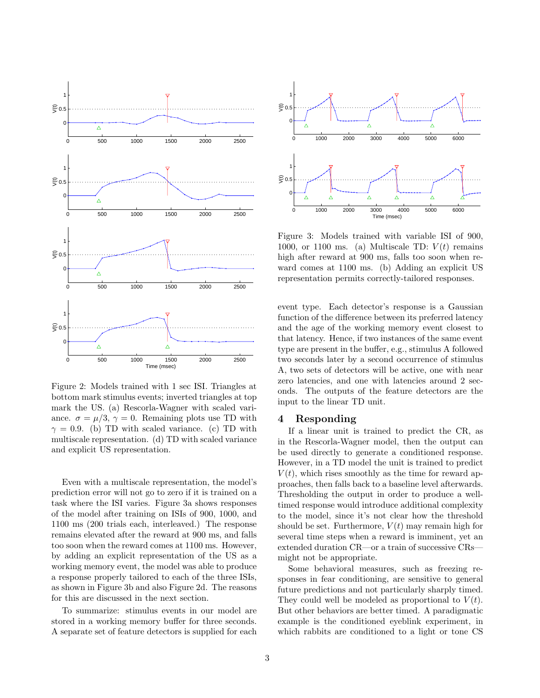

Figure 2: Models trained with 1 sec ISI. Triangles at bottom mark stimulus events; inverted triangles at top mark the US. (a) Rescorla-Wagner with scaled variance.  $\sigma = \mu/3$ ,  $\gamma = 0$ . Remaining plots use TD with  $\gamma = 0.9$ . (b) TD with scaled variance. (c) TD with multiscale representation. (d) TD with scaled variance and explicit US representation.

Even with a multiscale representation, the model's prediction error will not go to zero if it is trained on a task where the ISI varies. Figure 3a shows responses of the model after training on ISIs of 900, 1000, and 1100 ms (200 trials each, interleaved.) The response remains elevated after the reward at 900 ms, and falls too soon when the reward comes at 1100 ms. However, by adding an explicit representation of the US as a working memory event, the model was able to produce a response properly tailored to each of the three ISIs, as shown in Figure 3b and also Figure 2d. The reasons for this are discussed in the next section.

To summarize: stimulus events in our model are stored in a working memory buffer for three seconds. A separate set of feature detectors is supplied for each



Figure 3: Models trained with variable ISI of 900, 1000, or 1100 ms. (a) Multiscale TD:  $V(t)$  remains high after reward at 900 ms, falls too soon when reward comes at 1100 ms. (b) Adding an explicit US representation permits correctly-tailored responses.

event type. Each detector's response is a Gaussian function of the difference between its preferred latency and the age of the working memory event closest to that latency. Hence, if two instances of the same event type are present in the buffer, e.g., stimulus A followed two seconds later by a second occurrence of stimulus A, two sets of detectors will be active, one with near zero latencies, and one with latencies around 2 seconds. The outputs of the feature detectors are the input to the linear TD unit.

# **4 Responding**

If a linear unit is trained to predict the CR, as in the Rescorla-Wagner model, then the output can be used directly to generate a conditioned response. However, in a TD model the unit is trained to predict  $V(t)$ , which rises smoothly as the time for reward approaches, then falls back to a baseline level afterwards. Thresholding the output in order to produce a welltimed response would introduce additional complexity to the model, since it's not clear how the threshold should be set. Furthermore,  $V(t)$  may remain high for several time steps when a reward is imminent, yet an extended duration CR—or a train of successive CRs might not be appropriate.

Some behavioral measures, such as freezing responses in fear conditioning, are sensitive to general future predictions and not particularly sharply timed. They could well be modeled as proportional to  $V(t)$ . But other behaviors are better timed. A paradigmatic example is the conditioned eyeblink experiment, in which rabbits are conditioned to a light or tone CS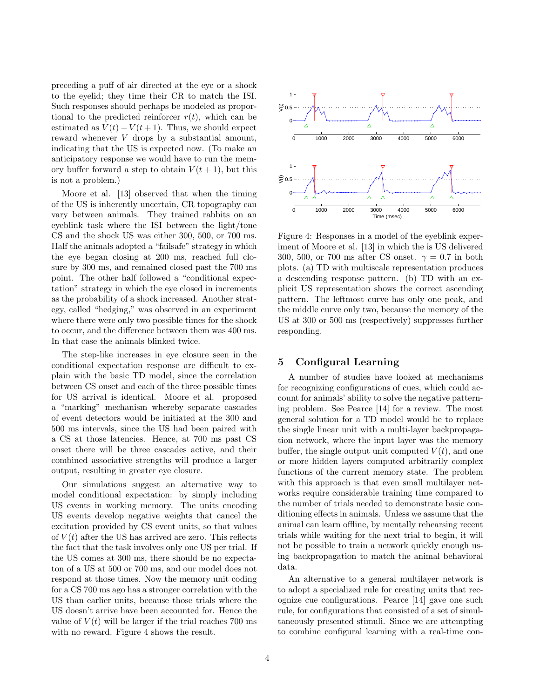preceding a puff of air directed at the eye or a shock to the eyelid; they time their CR to match the ISI. Such responses should perhaps be modeled as proportional to the predicted reinforcer  $r(t)$ , which can be estimated as  $V(t) - V(t+1)$ . Thus, we should expect reward whenever V drops by a substantial amount, indicating that the US is expected now. (To make an anticipatory response we would have to run the memory buffer forward a step to obtain  $V(t + 1)$ , but this is not a problem.)

Moore et al. [13] observed that when the timing of the US is inherently uncertain, CR topography can vary between animals. They trained rabbits on an eyeblink task where the ISI between the light/tone CS and the shock US was either 300, 500, or 700 ms. Half the animals adopted a "failsafe" strategy in which the eye began closing at 200 ms, reached full closure by 300 ms, and remained closed past the 700 ms point. The other half followed a "conditional expectation" strategy in which the eye closed in increments as the probability of a shock increased. Another strategy, called "hedging," was observed in an experiment where there were only two possible times for the shock to occur, and the difference between them was 400 ms. In that case the animals blinked twice.

The step-like increases in eye closure seen in the conditional expectation response are difficult to explain with the basic TD model, since the correlation between CS onset and each of the three possible times for US arrival is identical. Moore et al. proposed a "marking" mechanism whereby separate cascades of event detectors would be initiated at the 300 and 500 ms intervals, since the US had been paired with a CS at those latencies. Hence, at 700 ms past CS onset there will be three cascades active, and their combined associative strengths will produce a larger output, resulting in greater eye closure.

Our simulations suggest an alternative way to model conditional expectation: by simply including US events in working memory. The units encoding US events develop negative weights that cancel the excitation provided by CS event units, so that values of  $V(t)$  after the US has arrived are zero. This reflects the fact that the task involves only one US per trial. If the US comes at 300 ms, there should be no expectaton of a US at 500 or 700 ms, and our model does not respond at those times. Now the memory unit coding for a CS 700 ms ago has a stronger correlation with the US than earlier units, because those trials where the US doesn't arrive have been accounted for. Hence the value of  $V(t)$  will be larger if the trial reaches 700 ms with no reward. Figure 4 shows the result.



Figure 4: Responses in a model of the eyeblink experiment of Moore et al. [13] in which the is US delivered 300, 500, or 700 ms after CS onset.  $\gamma = 0.7$  in both plots. (a) TD with multiscale representation produces a descending response pattern. (b) TD with an explicit US representation shows the correct ascending pattern. The leftmost curve has only one peak, and the middle curve only two, because the memory of the US at 300 or 500 ms (respectively) suppresses further responding.

# **5 Configural Learning**

A number of studies have looked at mechanisms for recognizing configurations of cues, which could account for animals' ability to solve the negative patterning problem. See Pearce [14] for a review. The most general solution for a TD model would be to replace the single linear unit with a multi-layer backpropagation network, where the input layer was the memory buffer, the single output unit computed  $V(t)$ , and one or more hidden layers computed arbitrarily complex functions of the current memory state. The problem with this approach is that even small multilayer networks require considerable training time compared to the number of trials needed to demonstrate basic conditioning effects in animals. Unless we assume that the animal can learn offline, by mentally rehearsing recent trials while waiting for the next trial to begin, it will not be possible to train a network quickly enough using backpropagation to match the animal behavioral data.

An alternative to a general multilayer network is to adopt a specialized rule for creating units that recognize cue configurations. Pearce [14] gave one such rule, for configurations that consisted of a set of simultaneously presented stimuli. Since we are attempting to combine configural learning with a real-time con-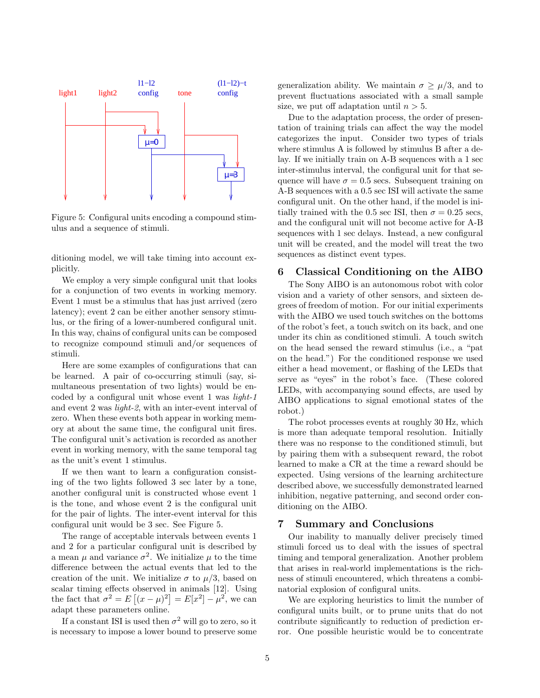

Figure 5: Configural units encoding a compound stimulus and a sequence of stimuli.

ditioning model, we will take timing into account explicitly.

We employ a very simple configural unit that looks for a conjunction of two events in working memory. Event 1 must be a stimulus that has just arrived (zero latency); event 2 can be either another sensory stimulus, or the firing of a lower-numbered configural unit. In this way, chains of configural units can be composed to recognize compound stimuli and/or sequences of stimuli.

Here are some examples of configurations that can be learned. A pair of co-occurring stimuli (say, simultaneous presentation of two lights) would be encoded by a configural unit whose event 1 was light-1 and event 2 was light-2, with an inter-event interval of zero. When these events both appear in working memory at about the same time, the configural unit fires. The configural unit's activation is recorded as another event in working memory, with the same temporal tag as the unit's event 1 stimulus.

If we then want to learn a configuration consisting of the two lights followed 3 sec later by a tone, another configural unit is constructed whose event 1 is the tone, and whose event 2 is the configural unit for the pair of lights. The inter-event interval for this configural unit would be 3 sec. See Figure 5.

The range of acceptable intervals between events 1 and 2 for a particular configural unit is described by a mean  $\mu$  and variance  $\sigma^2$ . We initialize  $\mu$  to the time difference between the actual events that led to the creation of the unit. We initialize  $\sigma$  to  $\mu/3$ , based on scalar timing effects observed in animals [12]. Using the fact that  $\sigma^2 = E[(x - \mu)^2] = E[x^2] - \mu^2$ , we can adapt these parameters online.

If a constant ISI is used then  $\sigma^2$  will go to zero, so it is necessary to impose a lower bound to preserve some generalization ability. We maintain  $\sigma \geq \mu/3$ , and to prevent fluctuations associated with a small sample size, we put off adaptation until  $n > 5$ .

Due to the adaptation process, the order of presentation of training trials can affect the way the model categorizes the input. Consider two types of trials where stimulus A is followed by stimulus B after a delay. If we initially train on A-B sequences with a 1 sec inter-stimulus interval, the configural unit for that sequence will have  $\sigma = 0.5$  secs. Subsequent training on A-B sequences with a 0.5 sec ISI will activate the same configural unit. On the other hand, if the model is initially trained with the 0.5 sec ISI, then  $\sigma = 0.25$  secs, and the configural unit will not become active for A-B sequences with 1 sec delays. Instead, a new configural unit will be created, and the model will treat the two sequences as distinct event types.

# **6 Classical Conditioning on the AIBO**

The Sony AIBO is an autonomous robot with color vision and a variety of other sensors, and sixteen degrees of freedom of motion. For our initial experiments with the AIBO we used touch switches on the bottoms of the robot's feet, a touch switch on its back, and one under its chin as conditioned stimuli. A touch switch on the head sensed the reward stimulus (i.e., a "pat on the head.") For the conditioned response we used either a head movement, or flashing of the LEDs that serve as "eyes" in the robot's face. (These colored LEDs, with accompanying sound effects, are used by AIBO applications to signal emotional states of the robot.)

The robot processes events at roughly 30 Hz, which is more than adequate temporal resolution. Initially there was no response to the conditioned stimuli, but by pairing them with a subsequent reward, the robot learned to make a CR at the time a reward should be expected. Using versions of the learning architecture described above, we successfully demonstrated learned inhibition, negative patterning, and second order conditioning on the AIBO.

### **7 Summary and Conclusions**

Our inability to manually deliver precisely timed stimuli forced us to deal with the issues of spectral timing and temporal generalization. Another problem that arises in real-world implementations is the richness of stimuli encountered, which threatens a combinatorial explosion of configural units.

We are exploring heuristics to limit the number of configural units built, or to prune units that do not contribute significantly to reduction of prediction error. One possible heuristic would be to concentrate